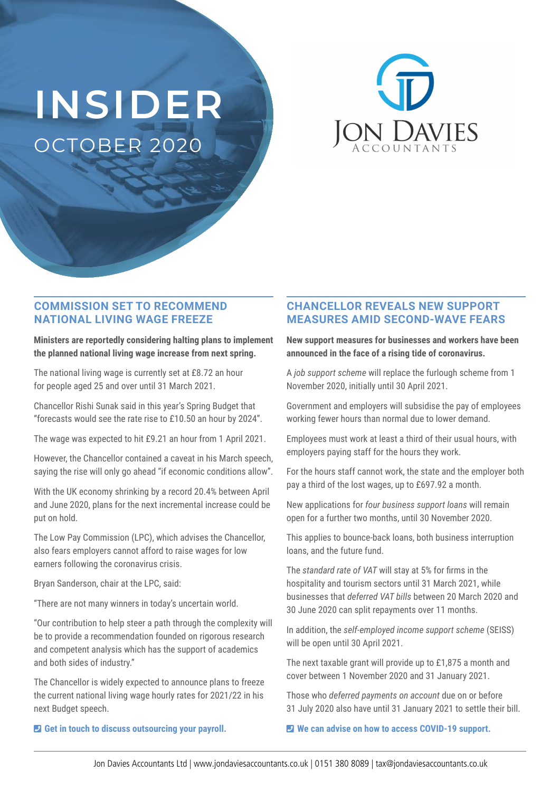# **INSIDER** OCTOBER 2020



#### **COMMISSION SET TO RECOMMEND NATIONAL LIVING WAGE FREEZE**

**Ministers are reportedly considering halting plans to implement the planned national living wage increase from next spring.** 

The national living wage is currently set at £8.72 an hour for people aged 25 and over until 31 March 2021.

Chancellor Rishi Sunak said in this year's Spring Budget that "forecasts would see the rate rise to £10.50 an hour by 2024".

The wage was expected to hit £9.21 an hour from 1 April 2021.

However, the Chancellor contained a caveat in his March speech, saying the rise will only go ahead "if economic conditions allow".

With the UK economy shrinking by a record 20.4% between April and June 2020, plans for the next incremental increase could be put on hold.

The Low Pay Commission (LPC), which advises the Chancellor, also fears employers cannot afford to raise wages for low earners following the coronavirus crisis.

Bryan Sanderson, chair at the LPC, said:

"There are not many winners in today's uncertain world.

"Our contribution to help steer a path through the complexity will be to provide a recommendation founded on rigorous research and competent analysis which has the support of academics and both sides of industry."

The Chancellor is widely expected to announce plans to freeze the current national living wage hourly rates for 2021/22 in his next Budget speech.

### **CHANCELLOR REVEALS NEW SUPPORT MEASURES AMID SECOND-WAVE FEARS**

**New support measures for businesses and workers have been announced in the face of a rising tide of coronavirus.** 

A *job support scheme* will replace the furlough scheme from 1 November 2020, initially until 30 April 2021.

Government and employers will subsidise the pay of employees working fewer hours than normal due to lower demand.

Employees must work at least a third of their usual hours, with employers paying staff for the hours they work.

For the hours staff cannot work, the state and the employer both pay a third of the lost wages, up to £697.92 a month.

New applications for *four business support loans* will remain open for a further two months, until 30 November 2020.

This applies to bounce-back loans, both business interruption loans, and the future fund.

The *standard rate of VAT* will stay at 5% for firms in the hospitality and tourism sectors until 31 March 2021, while businesses that *deferred VAT bills* between 20 March 2020 and 30 June 2020 can split repayments over 11 months.

In addition, the *self-employed income support scheme* (SEISS) will be open until 30 April 2021.

The next taxable grant will provide up to £1,875 a month and cover between 1 November 2020 and 31 January 2021.

Those who *deferred payments on account* due on or before 31 July 2020 also have until 31 January 2021 to settle their bill.

 $\blacksquare$  We can advise on how to access COVID-19 support.

 $\blacksquare$  Get in touch to discuss outsourcing your payroll.